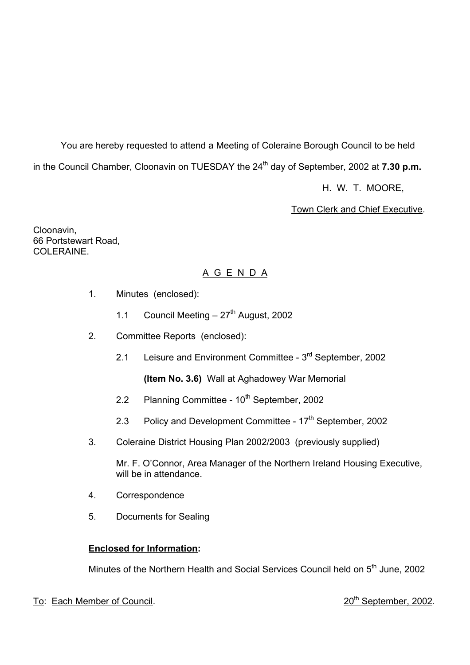You are hereby requested to attend a Meeting of Coleraine Borough Council to be held in the Council Chamber, Cloonavin on TUESDAY the 24<sup>th</sup> day of September, 2002 at **7.30 p.m.** 

H. W. T. MOORE,

Town Clerk and Chief Executive.

Cloonavin, 66 Portstewart Road, COLERAINE.

# A G E N D A

- 1. Minutes (enclosed):
	- 1.1 Council Meeting  $-27$ <sup>th</sup> August, 2002
- 2. Committee Reports (enclosed):
	- 2.1 Leisure and Environment Committee 3<sup>rd</sup> September, 2002

**(Item No. 3.6)** Wall at Aghadowey War Memorial

- 2.2 Planning Committee 10<sup>th</sup> September, 2002
- 2.3 Policy and Development Committee 17<sup>th</sup> September, 2002
- 3. Coleraine District Housing Plan 2002/2003 (previously supplied)

Mr. F. O'Connor, Area Manager of the Northern Ireland Housing Executive, will be in attendance.

- 4. Correspondence
- 5. Documents for Sealing

# **Enclosed for Information:**

Minutes of the Northern Health and Social Services Council held on 5<sup>th</sup> June, 2002

# To: Each Member of Council. 2002.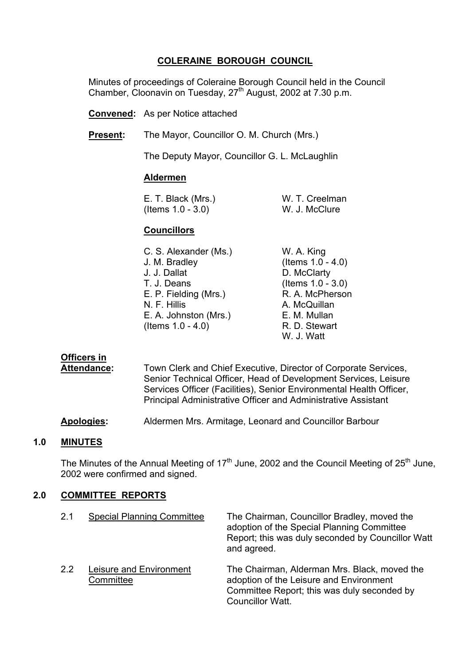# **COLERAINE BOROUGH COUNCIL**

 Minutes of proceedings of Coleraine Borough Council held in the Council Chamber, Cloonavin on Tuesday, 27<sup>th</sup> August, 2002 at 7.30 p.m.

**Convened:** As per Notice attached

**Present:** The Mayor, Councillor O. M. Church (Mrs.)

The Deputy Mayor, Councillor G. L. McLaughlin

#### **Aldermen**

 E. T. Black (Mrs.) W. T. Creelman (Items 1.0 - 3.0) W. J. McClure

#### **Councillors**

| C. S. Alexander (Ms.) | W. A. King           |
|-----------------------|----------------------|
| J. M. Bradley         | (Items $1.0 - 4.0$ ) |
| J. J. Dallat          | D. McClarty          |
| T. J. Deans           | (Items $1.0 - 3.0$ ) |
| E. P. Fielding (Mrs.) | R. A. McPherson      |
| N. F. Hillis          | A. McQuillan         |
| E. A. Johnston (Mrs.) | E. M. Mullan         |
| (Items $1.0 - 4.0$ )  | R. D. Stewart        |
|                       |                      |

W. J. Watt

# **Officers in**

 **Attendance:** Town Clerk and Chief Executive, Director of Corporate Services, Senior Technical Officer, Head of Development Services, Leisure Services Officer (Facilities), Senior Environmental Health Officer, Principal Administrative Officer and Administrative Assistant

**Apologies:** Aldermen Mrs. Armitage, Leonard and Councillor Barbour

#### **1.0 MINUTES**

The Minutes of the Annual Meeting of  $17<sup>th</sup>$  June, 2002 and the Council Meeting of 25<sup>th</sup> June, 2002 were confirmed and signed.

## **2.0 COMMITTEE REPORTS**

| 2.1 | <b>Special Planning Committee</b>    | The Chairman, Councillor Bradley, moved the<br>adoption of the Special Planning Committee<br>Report; this was duly seconded by Councillor Watt<br>and agreed.     |
|-----|--------------------------------------|-------------------------------------------------------------------------------------------------------------------------------------------------------------------|
| 2.2 | Leisure and Environment<br>Committee | The Chairman, Alderman Mrs. Black, moved the<br>adoption of the Leisure and Environment<br>Committee Report; this was duly seconded by<br><b>Councillor Watt.</b> |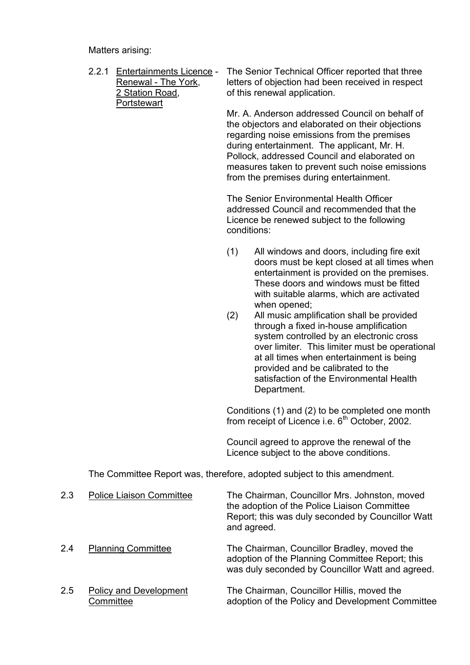Matters arising:

- 2.2.1 Entertainments Licence The Senior Technical Officer reported that three Renewal - The York, letters of objection had been received in respect 2 Station Road, of this renewal application. **Portstewart**  Mr. A. Anderson addressed Council on behalf of the objectors and elaborated on their objections regarding noise emissions from the premises during entertainment. The applicant, Mr. H. Pollock, addressed Council and elaborated on measures taken to prevent such noise emissions from the premises during entertainment. The Senior Environmental Health Officer addressed Council and recommended that the Licence be renewed subject to the following conditions: (1) All windows and doors, including fire exit doors must be kept closed at all times when entertainment is provided on the premises. These doors and windows must be fitted with suitable alarms, which are activated when opened; (2) All music amplification shall be provided through a fixed in-house amplification
	- system controlled by an electronic cross over limiter. This limiter must be operational at all times when entertainment is being provided and be calibrated to the satisfaction of the Environmental Health Department.

 Conditions (1) and (2) to be completed one month from receipt of Licence i.e.  $6<sup>th</sup>$  October, 2002.

 Council agreed to approve the renewal of the Licence subject to the above conditions.

The Committee Report was, therefore, adopted subject to this amendment.

| 2.3 | <b>Police Liaison Committee</b>            | The Chairman, Councillor Mrs. Johnston, moved<br>the adoption of the Police Liaison Committee<br>Report; this was duly seconded by Councillor Watt<br>and agreed. |
|-----|--------------------------------------------|-------------------------------------------------------------------------------------------------------------------------------------------------------------------|
| 2.4 | <b>Planning Committee</b>                  | The Chairman, Councillor Bradley, moved the<br>adoption of the Planning Committee Report; this<br>was duly seconded by Councillor Watt and agreed.                |
| 2.5 | <b>Policy and Development</b><br>Committee | The Chairman, Councillor Hillis, moved the<br>adoption of the Policy and Development Committee                                                                    |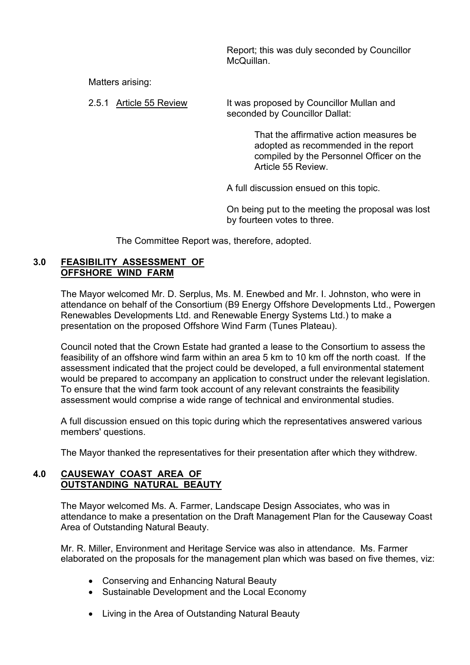Report; this was duly seconded by Councillor McQuillan.

Matters arising:

 2.5.1 Article 55 Review It was proposed by Councillor Mullan and seconded by Councillor Dallat:

> That the affirmative action measures be adopted as recommended in the report compiled by the Personnel Officer on the Article 55 Review.

A full discussion ensued on this topic.

 On being put to the meeting the proposal was lost by fourteen votes to three.

The Committee Report was, therefore, adopted.

#### **3.0 FEASIBILITY ASSESSMENT OF OFFSHORE WIND FARM**

The Mayor welcomed Mr. D. Serplus, Ms. M. Enewbed and Mr. I. Johnston, who were in attendance on behalf of the Consortium (B9 Energy Offshore Developments Ltd., Powergen Renewables Developments Ltd. and Renewable Energy Systems Ltd.) to make a presentation on the proposed Offshore Wind Farm (Tunes Plateau).

Council noted that the Crown Estate had granted a lease to the Consortium to assess the feasibility of an offshore wind farm within an area 5 km to 10 km off the north coast. If the assessment indicated that the project could be developed, a full environmental statement would be prepared to accompany an application to construct under the relevant legislation. To ensure that the wind farm took account of any relevant constraints the feasibility assessment would comprise a wide range of technical and environmental studies.

A full discussion ensued on this topic during which the representatives answered various members' questions.

The Mayor thanked the representatives for their presentation after which they withdrew.

# **4.0 CAUSEWAY COAST AREA OF OUTSTANDING NATURAL BEAUTY**

The Mayor welcomed Ms. A. Farmer, Landscape Design Associates, who was in attendance to make a presentation on the Draft Management Plan for the Causeway Coast Area of Outstanding Natural Beauty.

Mr. R. Miller, Environment and Heritage Service was also in attendance. Ms. Farmer elaborated on the proposals for the management plan which was based on five themes, viz:

- Conserving and Enhancing Natural Beauty
- Sustainable Development and the Local Economy
- Living in the Area of Outstanding Natural Beauty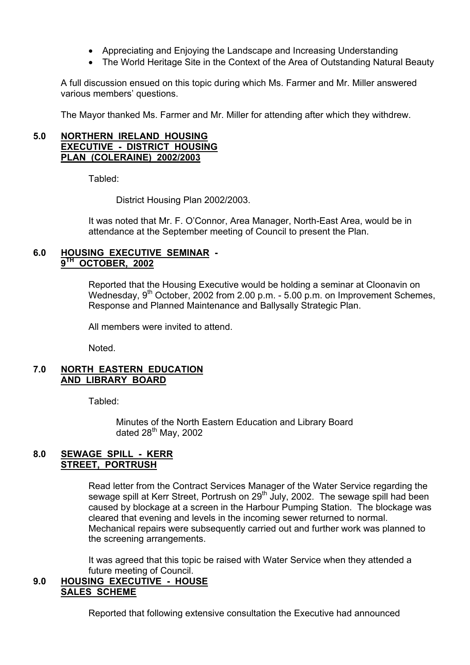- Appreciating and Enjoying the Landscape and Increasing Understanding
- The World Heritage Site in the Context of the Area of Outstanding Natural Beauty

A full discussion ensued on this topic during which Ms. Farmer and Mr. Miller answered various members' questions.

The Mayor thanked Ms. Farmer and Mr. Miller for attending after which they withdrew.

#### **5.0 NORTHERN IRELAND HOUSING EXECUTIVE - DISTRICT HOUSING PLAN (COLERAINE) 2002/2003**

Tabled:

District Housing Plan 2002/2003.

 It was noted that Mr. F. OíConnor, Area Manager, North-East Area, would be in attendance at the September meeting of Council to present the Plan.

## **6.0 HOUSING EXECUTIVE SEMINAR - 9TH OCTOBER, 2002**

Reported that the Housing Executive would be holding a seminar at Cloonavin on Wednesday,  $9<sup>th</sup>$  October, 2002 from 2.00 p.m. - 5.00 p.m. on Improvement Schemes, Response and Planned Maintenance and Ballysally Strategic Plan.

All members were invited to attend.

Noted.

#### **7.0 NORTH EASTERN EDUCATION AND LIBRARY BOARD**

Tabled:

 Minutes of the North Eastern Education and Library Board dated  $28^{th}$  May, 2002

## **8.0 SEWAGE SPILL - KERR STREET, PORTRUSH**

Read letter from the Contract Services Manager of the Water Service regarding the sewage spill at Kerr Street, Portrush on 29<sup>th</sup> July, 2002. The sewage spill had been caused by blockage at a screen in the Harbour Pumping Station. The blockage was cleared that evening and levels in the incoming sewer returned to normal. Mechanical repairs were subsequently carried out and further work was planned to the screening arrangements.

It was agreed that this topic be raised with Water Service when they attended a future meeting of Council.

## **9.0 HOUSING EXECUTIVE - HOUSE SALES SCHEME**

Reported that following extensive consultation the Executive had announced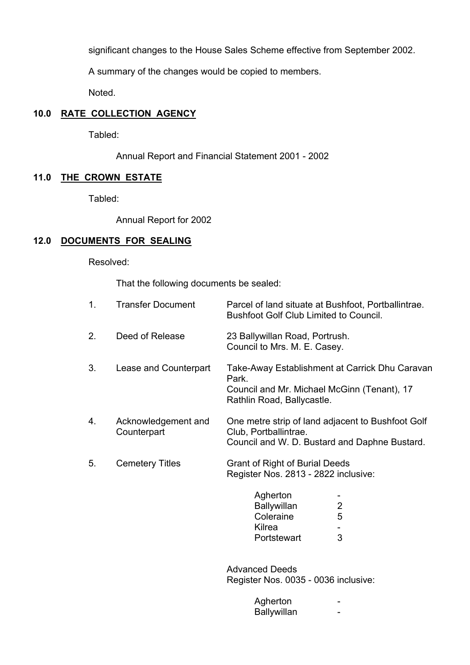significant changes to the House Sales Scheme effective from September 2002.

A summary of the changes would be copied to members.

Noted.

# **10.0 RATE COLLECTION AGENCY**

Tabled:

Annual Report and Financial Statement 2001 - 2002

# **11.0 THE CROWN ESTATE**

Tabled:

Annual Report for 2002

# **12.0 DOCUMENTS FOR SEALING**

Resolved:

That the following documents be sealed:

| 1. | <b>Transfer Document</b>           | Parcel of land situate at Bushfoot, Portballintrae.<br><b>Bushfoot Golf Club Limited to Council.</b>                                 |
|----|------------------------------------|--------------------------------------------------------------------------------------------------------------------------------------|
| 2. | Deed of Release                    | 23 Ballywillan Road, Portrush.<br>Council to Mrs. M. E. Casey.                                                                       |
| 3. | Lease and Counterpart              | Take-Away Establishment at Carrick Dhu Caravan<br>Park.<br>Council and Mr. Michael McGinn (Tenant), 17<br>Rathlin Road, Ballycastle. |
| 4. | Acknowledgement and<br>Counterpart | One metre strip of land adjacent to Bushfoot Golf<br>Club, Portballintrae.<br>Council and W. D. Bustard and Daphne Bustard.          |
| 5. | <b>Cemetery Titles</b>             | Grant of Right of Burial Deeds<br>Register Nos. 2813 - 2822 inclusive:                                                               |
|    |                                    | Agherton<br>2<br><b>Ballywillan</b>                                                                                                  |

| .           |                |
|-------------|----------------|
| Ballywillan | $\overline{2}$ |
| Coleraine   | 5              |
| Kilrea      | $\sim$         |
| Portstewart | 3              |
|             |                |

 Advanced Deeds Register Nos. 0035 - 0036 inclusive:

| Agherton    |  |
|-------------|--|
| Ballywillan |  |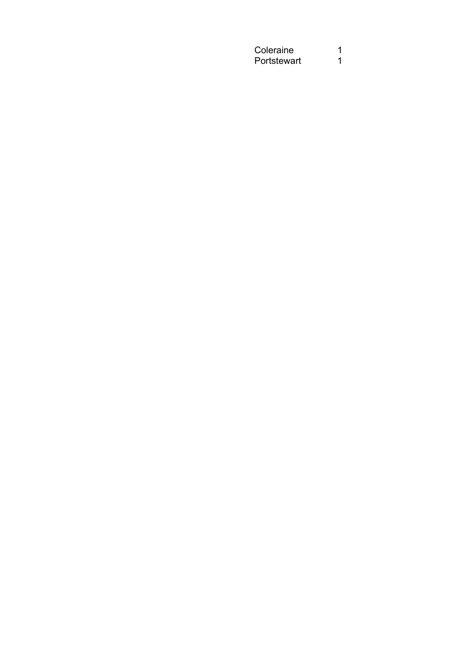Coleraine 1<br>Portstewart 1 Portstewart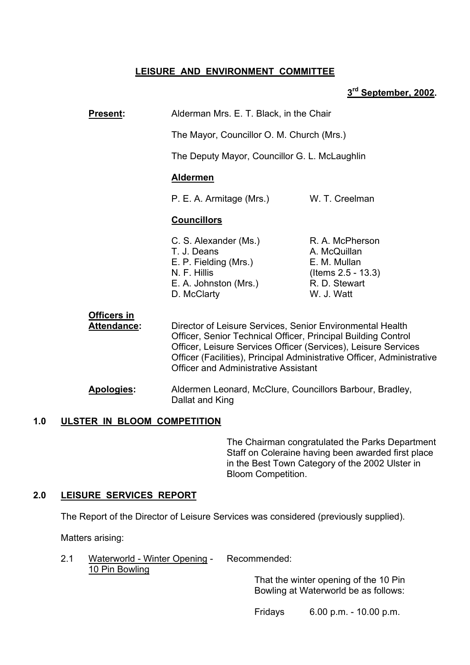# **LEISURE AND ENVIRONMENT COMMITTEE**

# **3rd September, 2002.**

**Present:** Alderman Mrs. E. T. Black, in the Chair

The Mayor, Councillor O. M. Church (Mrs.)

The Deputy Mayor, Councillor G. L. McLaughlin

# **Aldermen**

P. E. A. Armitage (Mrs.) W. T. Creelman

## **Councillors**

C. S. Alexander (Ms.) R. A. McPherson T. J. Deans A. McQuillan E. P. Fielding (Mrs.) E. M. Mullan N. F. Hillis (Items 2.5 - 13.3) E. A. Johnston (Mrs.) R. D. Stewart D. McClarty W. J. Watt

 **Officers in Attendance:** Director of Leisure Services, Senior Environmental Health Officer, Senior Technical Officer, Principal Building Control Officer, Leisure Services Officer (Services), Leisure Services Officer (Facilities), Principal Administrative Officer, Administrative Officer and Administrative Assistant

**Apologies:** Aldermen Leonard, McClure, Councillors Barbour, Bradley, Dallat and King

# **1.0 ULSTER IN BLOOM COMPETITION**

The Chairman congratulated the Parks Department Staff on Coleraine having been awarded first place in the Best Town Category of the 2002 Ulster in Bloom Competition.

# **2.0 LEISURE SERVICES REPORT**

The Report of the Director of Leisure Services was considered (previously supplied).

Matters arising:

 2.1 Waterworld - Winter Opening - Recommended: 10 Pin Bowling

> That the winter opening of the 10 Pin Bowling at Waterworld be as follows:

Fridays 6.00 p.m. - 10.00 p.m.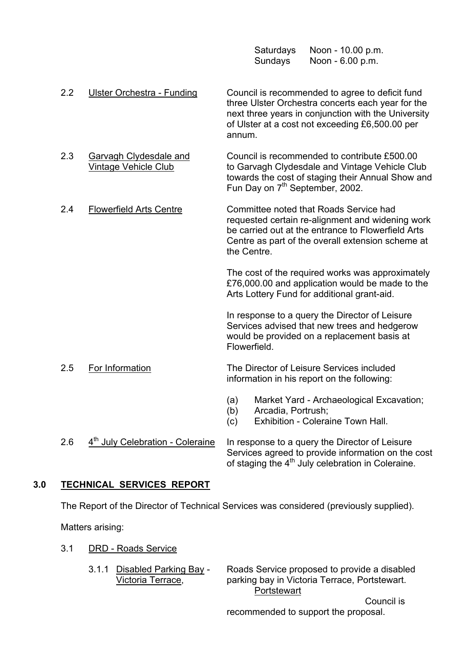| Saturdays | Noon - 10.00 p.m. |
|-----------|-------------------|
| Sundays   | Noon - 6.00 p.m.  |

- 2.2 Ulster Orchestra Funding Council is recommended to agree to deficit fund three Ulster Orchestra concerts each year for the next three years in conjunction with the University of Ulster at a cost not exceeding £6,500.00 per annum. 2.3 Garvagh Clydesdale and Council is recommended to contribute £500.00<br>Vintage Vehicle Club to Garvagh Clydesdale and Vintage Vehicle Clu to Garvagh Clydesdale and Vintage Vehicle Club towards the cost of staging their Annual Show and Fun Day on 7<sup>th</sup> September, 2002. 2.4 Flowerfield Arts Centre Committee noted that Roads Service had requested certain re-alignment and widening work be carried out at the entrance to Flowerfield Arts Centre as part of the overall extension scheme at the Centre. The cost of the required works was approximately £76,000.00 and application would be made to the Arts Lottery Fund for additional grant-aid. In response to a query the Director of Leisure Services advised that new trees and hedgerow would be provided on a replacement basis at **Flowerfield**  2.5 For Information The Director of Leisure Services included information in his report on the following: (a) Market Yard - Archaeological Excavation;
	- (b) Arcadia, Portrush;
	- (c) Exhibition Coleraine Town Hall.
- 2.6  $4<sup>th</sup>$  July Celebration Coleraine In response to a query the Director of Leisure Services agreed to provide information on the cost of staging the 4<sup>th</sup> July celebration in Coleraine.

# **3.0 TECHNICAL SERVICES REPORT**

The Report of the Director of Technical Services was considered (previously supplied).

Matters arising:

- 3.1 DRD Roads Service
	-

 3.1.1 Disabled Parking Bay - Roads Service proposed to provide a disabled Victoria Terrace, parking bay in Victoria Terrace, Portstewart. **Portstewart** 

> Council is recommended to support the proposal.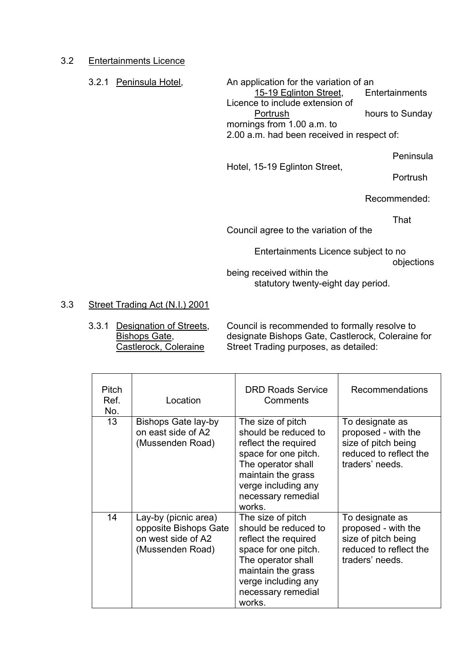# 3.2 Entertainments Licence

3.2.1 Peninsula Hotel, An application for the variation of an 15-19 Eglinton Street, Entertainments Licence to include extension of Portrush hours to Sunday mornings from 1.00 a.m. to 2.00 a.m. had been received in respect of:

Peninsula

Hotel, 15-19 Eglinton Street,

**Portrush** 

Recommended:

That

Council agree to the variation of the

Entertainments Licence subject to no

objections

being received within the statutory twenty-eight day period.

# 3.3 Street Trading Act (N.I.) 2001

 3.3.1 Designation of Streets, Council is recommended to formally resolve to Bishops Gate, designate Bishops Gate, Castlerock, Coleraine for Castlerock, Coleraine Street Trading purposes, as detailed:

| <b>Pitch</b><br>Ref.<br>No. | Location                                                                                | <b>DRD Roads Service</b><br>Comments                                                                                                                                                         | <b>Recommendations</b>                                                                                     |
|-----------------------------|-----------------------------------------------------------------------------------------|----------------------------------------------------------------------------------------------------------------------------------------------------------------------------------------------|------------------------------------------------------------------------------------------------------------|
| 13                          | Bishops Gate lay-by<br>on east side of A2<br>(Mussenden Road)                           | The size of pitch<br>should be reduced to<br>reflect the required<br>space for one pitch.<br>The operator shall<br>maintain the grass<br>verge including any<br>necessary remedial<br>works. | To designate as<br>proposed - with the<br>size of pitch being<br>reduced to reflect the<br>traders' needs. |
| 14                          | Lay-by (picnic area)<br>opposite Bishops Gate<br>on west side of A2<br>(Mussenden Road) | The size of pitch<br>should be reduced to<br>reflect the required<br>space for one pitch.<br>The operator shall<br>maintain the grass<br>verge including any<br>necessary remedial<br>works. | To designate as<br>proposed - with the<br>size of pitch being<br>reduced to reflect the<br>traders' needs. |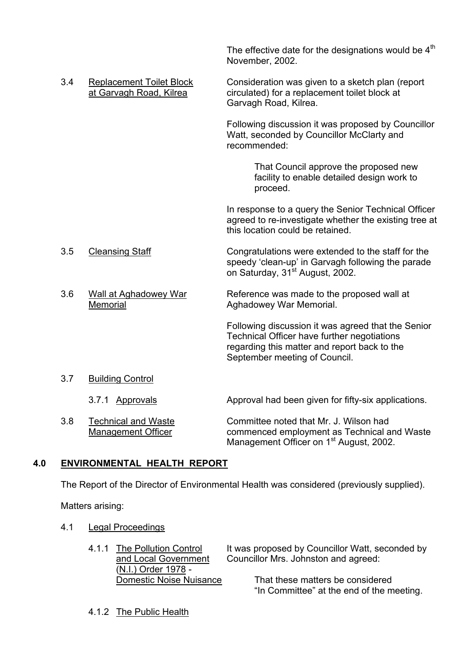|     |                                                            | The effective date for the designations would be $4th$<br>November, 2002.                                                                                                          |
|-----|------------------------------------------------------------|------------------------------------------------------------------------------------------------------------------------------------------------------------------------------------|
| 3.4 | <b>Replacement Toilet Block</b><br>at Garvagh Road, Kilrea | Consideration was given to a sketch plan (report<br>circulated) for a replacement toilet block at<br>Garvagh Road, Kilrea.                                                         |
|     |                                                            | Following discussion it was proposed by Councillor<br>Watt, seconded by Councillor McClarty and<br>recommended:                                                                    |
|     |                                                            | That Council approve the proposed new<br>facility to enable detailed design work to<br>proceed.                                                                                    |
|     |                                                            | In response to a query the Senior Technical Officer<br>agreed to re-investigate whether the existing tree at<br>this location could be retained.                                   |
| 3.5 | <b>Cleansing Staff</b>                                     | Congratulations were extended to the staff for the<br>speedy 'clean-up' in Garvagh following the parade<br>on Saturday, 31 <sup>st</sup> August, 2002.                             |
| 3.6 | <b>Wall at Aghadowey War</b><br>Memorial                   | Reference was made to the proposed wall at<br>Aghadowey War Memorial.                                                                                                              |
|     |                                                            | Following discussion it was agreed that the Senior<br>Technical Officer have further negotiations<br>regarding this matter and report back to the<br>September meeting of Council. |
| 3.7 | <b>Building Control</b>                                    |                                                                                                                                                                                    |
|     | 3.7.1 Approvals                                            | Approval had been given for fifty-six applications.                                                                                                                                |
| 3.8 | <b>Technical and Waste</b><br><b>Management Officer</b>    | Committee noted that Mr. J. Wilson had<br>commenced employment as Technical and Waste<br>Management Officer on 1 <sup>st</sup> August, 2002.                                       |
|     |                                                            |                                                                                                                                                                                    |

# **4.0 ENVIRONMENTAL HEALTH REPORT**

The Report of the Director of Environmental Health was considered (previously supplied).

Matters arising:

- 4.1 Legal Proceedings
	- (N.I.) Order 1978 -<br>Domestic Noise Nuisance

4.1.1 The Pollution Control It was proposed by Councillor Watt, seconded by and Local Government Councillor Mrs. Johnston and agreed: Councillor Mrs. Johnston and agreed:

> That these matters be considered "In Committee" at the end of the meeting.

4.1.2 The Public Health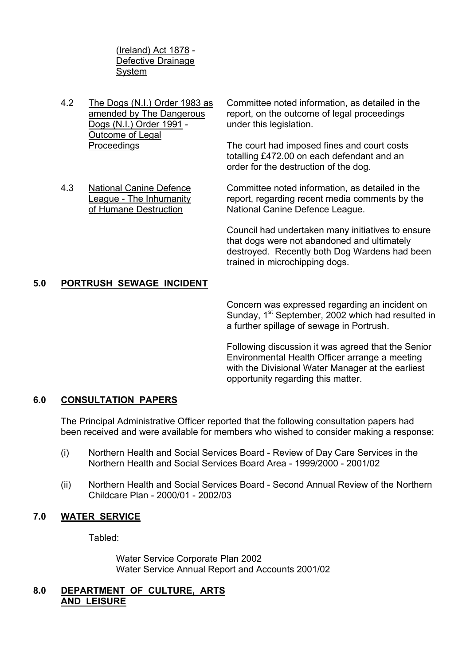(Ireland) Act 1878 - Defective Drainage System

Dogs (N.I.) Order 1991 - under this legislation. Outcome of Legal

4.2 The Dogs (N.I.) Order 1983 as Committee noted information, as detailed in the amended by The Dangerous report, on the outcome of legal proceedings

 Proceedings The court had imposed fines and court costs totalling £472.00 on each defendant and an order for the destruction of the dog.

 4.3 National Canine Defence Committee noted information, as detailed in the League - The Inhumanity report, regarding recent media comments by the of Humane Destruction National Canine Defence League.

> Council had undertaken many initiatives to ensure that dogs were not abandoned and ultimately destroyed. Recently both Dog Wardens had been trained in microchipping dogs.

# **5.0 PORTRUSH SEWAGE INCIDENT**

 Concern was expressed regarding an incident on Sunday, 1<sup>st</sup> September, 2002 which had resulted in a further spillage of sewage in Portrush.

 Following discussion it was agreed that the Senior Environmental Health Officer arrange a meeting with the Divisional Water Manager at the earliest opportunity regarding this matter.

#### **6.0 CONSULTATION PAPERS**

The Principal Administrative Officer reported that the following consultation papers had been received and were available for members who wished to consider making a response:

- (i) Northern Health and Social Services Board Review of Day Care Services in the Northern Health and Social Services Board Area - 1999/2000 - 2001/02
- (ii) Northern Health and Social Services Board Second Annual Review of the Northern Childcare Plan - 2000/01 - 2002/03

#### **7.0 WATER SERVICE**

Tabled:

 Water Service Corporate Plan 2002 Water Service Annual Report and Accounts 2001/02

#### **8.0 DEPARTMENT OF CULTURE, ARTS AND LEISURE**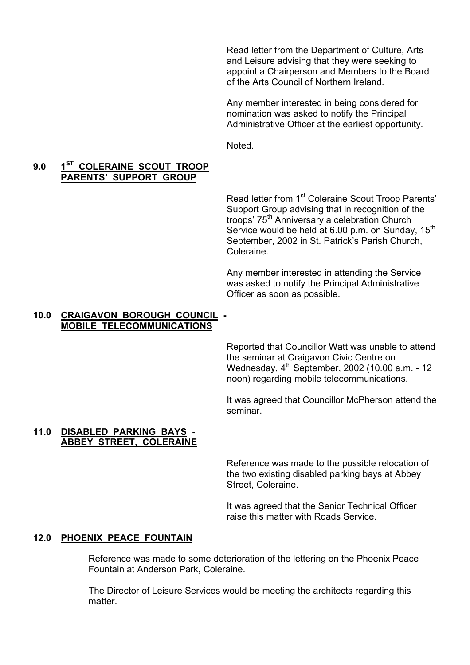Read letter from the Department of Culture, Arts and Leisure advising that they were seeking to appoint a Chairperson and Members to the Board of the Arts Council of Northern Ireland.

Any member interested in being considered for nomination was asked to notify the Principal Administrative Officer at the earliest opportunity.

Noted.

## 9.0 1<sup>ST</sup> COLERAINE SCOUT TROOP  **PARENTSí SUPPORT GROUP**

Read letter from 1<sup>st</sup> Coleraine Scout Troop Parents' Support Group advising that in recognition of the troops' 75<sup>th</sup> Anniversary a celebration Church Service would be held at 6.00 p.m. on Sunday, 15<sup>th</sup> September, 2002 in St. Patrick's Parish Church, Coleraine.

 Any member interested in attending the Service was asked to notify the Principal Administrative Officer as soon as possible.

#### **10.0 CRAIGAVON BOROUGH COUNCIL - MOBILE TELECOMMUNICATIONS**

Reported that Councillor Watt was unable to attend the seminar at Craigavon Civic Centre on Wednesday, 4th September, 2002 (10.00 a.m. - 12 noon) regarding mobile telecommunications.

It was agreed that Councillor McPherson attend the seminar.

#### **11.0 DISABLED PARKING BAYS - ABBEY STREET, COLERAINE**

Reference was made to the possible relocation of the two existing disabled parking bays at Abbey Street, Coleraine.

It was agreed that the Senior Technical Officer raise this matter with Roads Service.

#### **12.0 PHOENIX PEACE FOUNTAIN**

 Reference was made to some deterioration of the lettering on the Phoenix Peace Fountain at Anderson Park, Coleraine.

 The Director of Leisure Services would be meeting the architects regarding this matter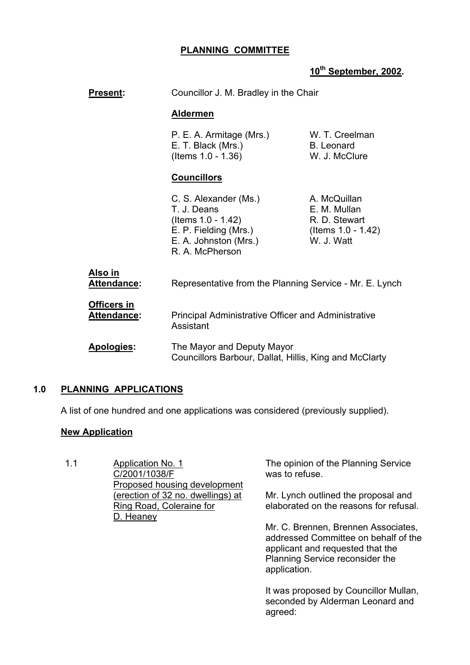# **PLANNING COMMITTEE**

# **10th September, 2002.**

| Present:                          | Councillor J. M. Bradley in the Chair                                                                                           |                                                                                   |
|-----------------------------------|---------------------------------------------------------------------------------------------------------------------------------|-----------------------------------------------------------------------------------|
|                                   | <b>Aldermen</b>                                                                                                                 |                                                                                   |
|                                   | P. E. A. Armitage (Mrs.)<br>E. T. Black (Mrs.)<br>(Items 1.0 - 1.36)                                                            | W. T. Creelman<br>B. Leonard<br>W. J. McClure                                     |
|                                   | <b>Councillors</b>                                                                                                              |                                                                                   |
|                                   | C. S. Alexander (Ms.)<br>T. J. Deans<br>(Items 1.0 - 1.42)<br>E. P. Fielding (Mrs.)<br>E. A. Johnston (Mrs.)<br>R. A. McPherson | A. McQuillan<br>E. M. Mullan<br>R. D. Stewart<br>(Items 1.0 - 1.42)<br>W. J. Watt |
| Also in<br><b>Attendance:</b>     | Representative from the Planning Service - Mr. E. Lynch                                                                         |                                                                                   |
| <b>Officers in</b><br>Attendance: | <b>Principal Administrative Officer and Administrative</b><br>Assistant                                                         |                                                                                   |
| Apologies:                        | The Mayor and Deputy Mayor<br>Councillors Barbour, Dallat, Hillis, King and McClarty                                            |                                                                                   |
|                                   |                                                                                                                                 |                                                                                   |

# **1.0 PLANNING APPLICATIONS**

A list of one hundred and one applications was considered (previously supplied).

# **New Application**

1.1 Application No. 1 C/2001/1038/F Proposed housing development (erection of 32 no. dwellings) at Ring Road, Coleraine for D. Heaney

The opinion of the Planning Service was to refuse.

Mr. Lynch outlined the proposal and elaborated on the reasons for refusal.

Mr. C. Brennen, Brennen Associates, addressed Committee on behalf of the applicant and requested that the Planning Service reconsider the application.

It was proposed by Councillor Mullan, seconded by Alderman Leonard and agreed: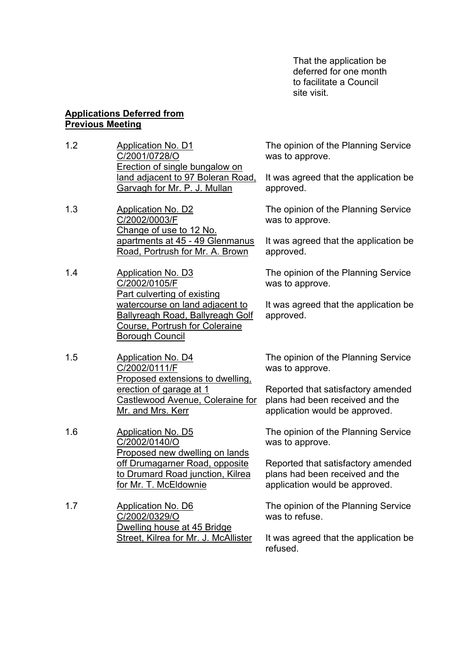That the application be deferred for one month to facilitate a Council site visit.

#### **Applications Deferred from Previous Meeting**

- 1.2 Application No. D1 C/2001/0728/O Erection of single bungalow on land adjacent to 97 Boleran Road, Garvagh for Mr. P. J. Mullan
- 1.3 Application No. D2 C/2002/0003/F Change of use to 12 No. apartments at 45 - 49 Glenmanus Road, Portrush for Mr. A. Brown
- 1.4 Application No. D3 C/2002/0105/F Part culverting of existing watercourse on land adjacent to Ballyreagh Road, Ballyreagh Golf Course, Portrush for Coleraine **Borough Council**
- 1.5 Application No. D4 C/2002/0111/F Proposed extensions to dwelling, erection of garage at 1 Castlewood Avenue, Coleraine for Mr. and Mrs. Kerr
- 1.6 Application No. D5 C/2002/0140/O Proposed new dwelling on lands off Drumagarner Road, opposite to Drumard Road junction, Kilrea for Mr. T. McEldownie
- 1.7 Application No. D6 C/2002/0329/O Dwelling house at 45 Bridge Street, Kilrea for Mr. J. McAllister

The opinion of the Planning Service was to approve.

It was agreed that the application be approved.

The opinion of the Planning Service was to approve.

It was agreed that the application be approved.

The opinion of the Planning Service was to approve.

It was agreed that the application be approved.

The opinion of the Planning Service was to approve.

Reported that satisfactory amended plans had been received and the application would be approved.

The opinion of the Planning Service was to approve.

Reported that satisfactory amended plans had been received and the application would be approved.

The opinion of the Planning Service was to refuse.

It was agreed that the application be refused.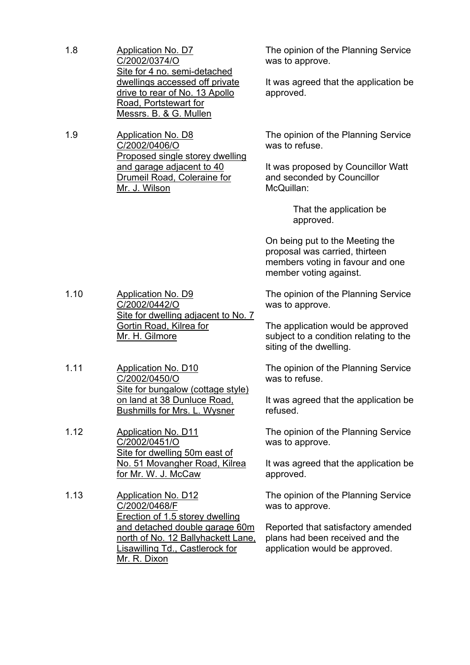1.8 Application No. D7 C/2002/0374/O Site for 4 no. semi-detached dwellings accessed off private drive to rear of No. 13 Apollo Road, Portstewart for Messrs. B. & G. Mullen

1.9 Application No. D8 C/2002/0406/O Proposed single storey dwelling and garage adjacent to 40 Drumeil Road, Coleraine for Mr. J. Wilson

The opinion of the Planning Service was to approve.

It was agreed that the application be approved.

The opinion of the Planning Service was to refuse.

It was proposed by Councillor Watt and seconded by Councillor McQuillan:

> That the application be approved.

On being put to the Meeting the proposal was carried, thirteen members voting in favour and one member voting against.

The opinion of the Planning Service was to approve.

> The application would be approved subject to a condition relating to the siting of the dwelling.

> The opinion of the Planning Service was to refuse.

It was agreed that the application be refused.

The opinion of the Planning Service was to approve.

It was agreed that the application be approved.

The opinion of the Planning Service was to approve.

Reported that satisfactory amended plans had been received and the application would be approved.

- 1.10 Application No. D9 C/2002/0442/O Site for dwelling adjacent to No. 7 Gortin Road, Kilrea for Mr. H. Gilmore
- 1.11 Application No. D10 C/2002/0450/O Site for bungalow (cottage style) on land at 38 Dunluce Road, Bushmills for Mrs. L. Wysner
- 1.12 Application No. D11 C/2002/0451/O Site for dwelling 50m east of No. 51 Movangher Road, Kilrea for Mr. W. J. McCaw
- 1.13 Application No. D12 C/2002/0468/F Erection of 1.5 storey dwelling and detached double garage 60m north of No. 12 Ballyhackett Lane, Lisawilling Td., Castlerock for Mr. R. Dixon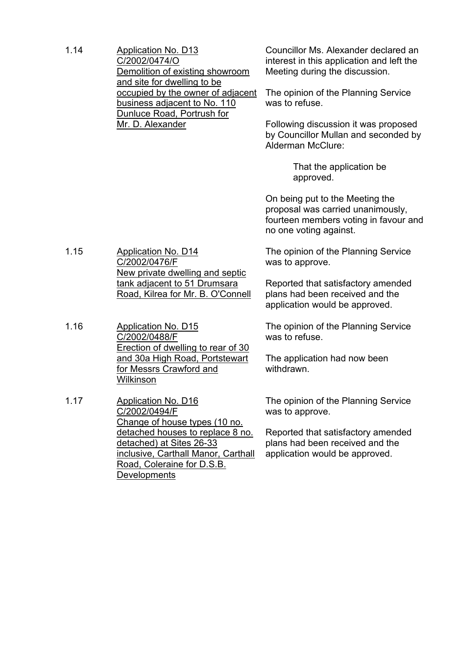| 1.14 | <b>Application No. D13</b><br>C/2002/0474/O<br>Demolition of existing showroom<br>and site for dwelling to be<br>occupied by the owner of adjacent<br>business adjacent to No. 110<br>Dunluce Road, Portrush for<br>Mr. D. Alexander | Councillor Ms. Alexander declared an<br>interest in this application and left the<br>Meeting during the discussion.<br>The opinion of the Planning Service<br>was to refuse.<br>Following discussion it was proposed<br>by Councillor Mullan and seconded by<br>Alderman McClure: |  |
|------|--------------------------------------------------------------------------------------------------------------------------------------------------------------------------------------------------------------------------------------|-----------------------------------------------------------------------------------------------------------------------------------------------------------------------------------------------------------------------------------------------------------------------------------|--|
|      |                                                                                                                                                                                                                                      | That the application be<br>approved.                                                                                                                                                                                                                                              |  |
|      |                                                                                                                                                                                                                                      | On being put to the Meeting the<br>proposal was carried unanimously,<br>fourteen members voting in favour and<br>no one voting against.                                                                                                                                           |  |
| 1.15 | <b>Application No. D14</b><br>C/2002/0476/F<br>New private dwelling and septic<br>tank adjacent to 51 Drumsara<br>Road, Kilrea for Mr. B. O'Connell                                                                                  | The opinion of the Planning Service<br>was to approve.                                                                                                                                                                                                                            |  |
|      |                                                                                                                                                                                                                                      | Reported that satisfactory amended<br>plans had been received and the<br>application would be approved.                                                                                                                                                                           |  |
| 1.16 | <b>Application No. D15</b><br>C/2002/0488/F<br>Erection of dwelling to rear of 30                                                                                                                                                    | The opinion of the Planning Service<br>was to refuse.                                                                                                                                                                                                                             |  |
|      | and 30a High Road, Portstewart<br>for Messrs Crawford and<br>Wilkinson                                                                                                                                                               | The application had now been<br>withdrawn.                                                                                                                                                                                                                                        |  |
| 1.17 | <b>Application No. D16</b><br>C/2002/0494/F<br>Change of house types (10 no.                                                                                                                                                         | The opinion of the Planning Service<br>was to approve.                                                                                                                                                                                                                            |  |
|      | detached houses to replace 8 no.<br>detached) at Sites 26-33<br>inclusive, Carthall Manor, Carthall<br>Road, Coleraine for D.S.B.<br>Developments                                                                                    | Reported that satisfactory amended<br>plans had been received and the<br>application would be approved.                                                                                                                                                                           |  |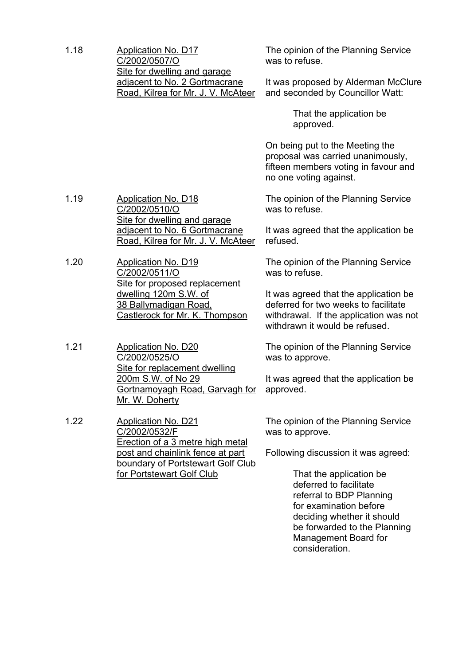## 1.18 Application No. D17 C/2002/0507/O Site for dwelling and garage adjacent to No. 2 Gortmacrane Road, Kilrea for Mr. J. V. McAteer

The opinion of the Planning Service was to refuse.

It was proposed by Alderman McClure and seconded by Councillor Watt:

> That the application be approved.

On being put to the Meeting the proposal was carried unanimously, fifteen members voting in favour and no one voting against.

The opinion of the Planning Service was to refuse.

It was agreed that the application be refused.

The opinion of the Planning Service was to refuse.

It was agreed that the application be deferred for two weeks to facilitate withdrawal. If the application was not withdrawn it would be refused.

The opinion of the Planning Service was to approve.

It was agreed that the application be approved.

The opinion of the Planning Service was to approve.

Following discussion it was agreed:

 That the application be deferred to facilitate referral to BDP Planning for examination before deciding whether it should be forwarded to the Planning Management Board for consideration.

1.19 Application No. D18 C/2002/0510/O Site for dwelling and garage adjacent to No. 6 Gortmacrane Road, Kilrea for Mr. J. V. McAteer

1.20 Application No. D19 C/2002/0511/O Site for proposed replacement dwelling 120m S.W. of 38 Ballymadigan Road, Castlerock for Mr. K. Thompson

1.21 Application No. D20 C/2002/0525/O Site for replacement dwelling 200m S.W. of No 29 Gortnamoyagh Road, Garvagh for Mr. W. Doherty

1.22 Application No. D21 C/2002/0532/F Erection of a 3 metre high metal post and chainlink fence at part boundary of Portstewart Golf Club for Portstewart Golf Club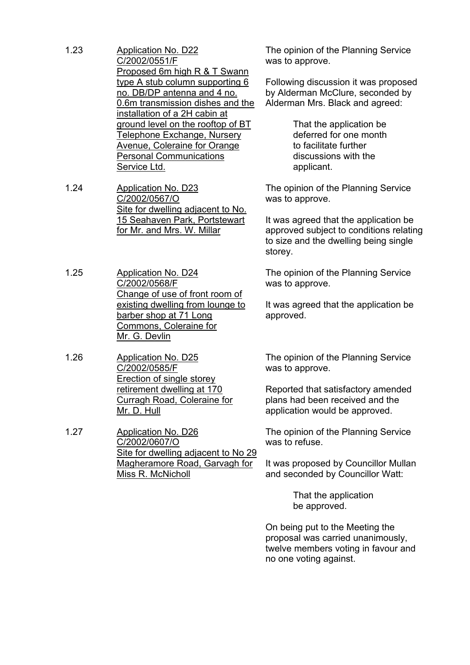- 1.23 Application No. D22 C/2002/0551/F Proposed 6m high R & T Swann type A stub column supporting 6 no. DB/DP antenna and 4 no. 0.6m transmission dishes and the installation of a 2H cabin at ground level on the rooftop of BT Telephone Exchange, Nursery Avenue, Coleraine for Orange Personal Communications Service Ltd.
- 1.24 Application No. D23 C/2002/0567/O Site for dwelling adjacent to No. 15 Seahaven Park, Portstewart for Mr. and Mrs. W. Millar
- 1.25 Application No. D24 C/2002/0568/F Change of use of front room of existing dwelling from lounge to barber shop at 71 Long Commons, Coleraine for Mr. G. Devlin
- 1.26 Application No. D25 C/2002/0585/F Erection of single storey retirement dwelling at 170 Curragh Road, Coleraine for Mr. D. Hull
- 1.27 Application No. D26 C/2002/0607/O Site for dwelling adjacent to No 29 Magheramore Road, Garvagh for Miss R. McNicholl

The opinion of the Planning Service was to approve.

Following discussion it was proposed by Alderman McClure, seconded by Alderman Mrs. Black and agreed:

> That the application be deferred for one month to facilitate further discussions with the applicant.

The opinion of the Planning Service was to approve.

It was agreed that the application be approved subject to conditions relating to size and the dwelling being single storey.

The opinion of the Planning Service was to approve.

It was agreed that the application be approved.

The opinion of the Planning Service was to approve.

Reported that satisfactory amended plans had been received and the application would be approved.

The opinion of the Planning Service was to refuse.

It was proposed by Councillor Mullan and seconded by Councillor Watt:

> That the application be approved.

On being put to the Meeting the proposal was carried unanimously, twelve members voting in favour and no one voting against.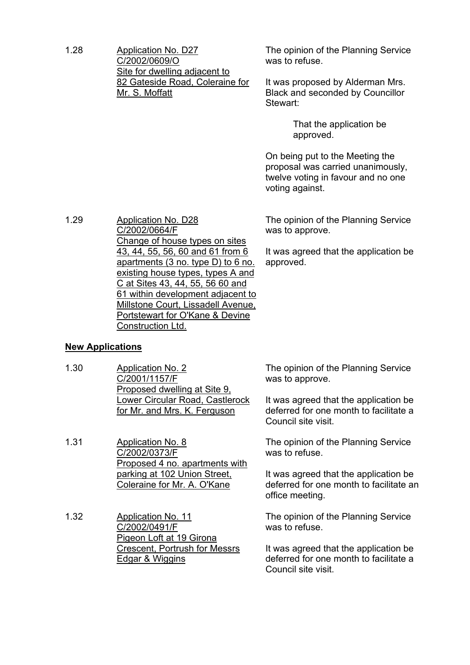1.28 Application No. D27 C/2002/0609/O Site for dwelling adjacent to 82 Gateside Road, Coleraine for Mr. S. Moffatt

The opinion of the Planning Service was to refuse.

It was proposed by Alderman Mrs. Black and seconded by Councillor Stewart:

> That the application be approved.

On being put to the Meeting the proposal was carried unanimously, twelve voting in favour and no one voting against.

The opinion of the Planning Service was to approve.

It was agreed that the application be approved.

1.29 Application No. D28 C/2002/0664/F Change of house types on sites 43, 44, 55, 56, 60 and 61 from 6 apartments (3 no. type D) to 6 no. existing house types, types A and C at Sites 43, 44, 55, 56 60 and 61 within development adjacent to Millstone Court, Lissadell Avenue, Portstewart for O'Kane & Devine Construction Ltd.

# **New Applications**

1.30 Application No. 2 C/2001/1157/F Proposed dwelling at Site 9, Lower Circular Road, Castlerock for Mr. and Mrs. K. Ferguson

1.31 Application No. 8 C/2002/0373/F Proposed 4 no. apartments with parking at 102 Union Street, Coleraine for Mr. A. O'Kane

1.32 Application No. 11 C/2002/0491/F Pigeon Loft at 19 Girona Crescent, Portrush for Messrs Edgar & Wiggins

The opinion of the Planning Service was to approve.

It was agreed that the application be deferred for one month to facilitate a Council site visit.

The opinion of the Planning Service was to refuse.

It was agreed that the application be deferred for one month to facilitate an office meeting.

The opinion of the Planning Service was to refuse.

It was agreed that the application be deferred for one month to facilitate a Council site visit.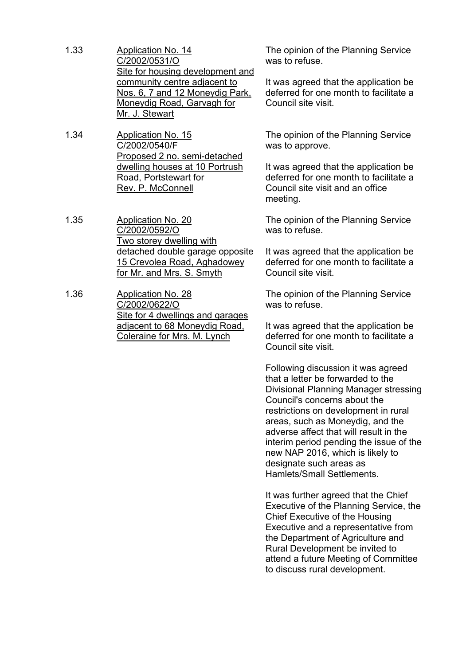- 1.33 Application No. 14 C/2002/0531/O Site for housing development and community centre adjacent to Nos. 6, 7 and 12 Moneydig Park, Moneydig Road, Garvagh for Mr. J. Stewart
- 1.34 Application No. 15 C/2002/0540/F Proposed 2 no. semi-detached dwelling houses at 10 Portrush Road, Portstewart for Rev. P. McConnell
- 1.35 Application No. 20 C/2002/0592/O Two storey dwelling with detached double garage opposite 15 Crevolea Road, Aghadowey for Mr. and Mrs. S. Smyth
- 1.36 Application No. 28 C/2002/0622/O Site for 4 dwellings and garages adjacent to 68 Moneydig Road, Coleraine for Mrs. M. Lynch

The opinion of the Planning Service was to refuse.

It was agreed that the application be deferred for one month to facilitate a Council site visit.

The opinion of the Planning Service was to approve.

It was agreed that the application be deferred for one month to facilitate a Council site visit and an office meeting.

The opinion of the Planning Service was to refuse.

It was agreed that the application be deferred for one month to facilitate a Council site visit.

The opinion of the Planning Service was to refuse.

It was agreed that the application be deferred for one month to facilitate a Council site visit.

Following discussion it was agreed that a letter be forwarded to the Divisional Planning Manager stressing Council's concerns about the restrictions on development in rural areas, such as Moneydig, and the adverse affect that will result in the interim period pending the issue of the new NAP 2016, which is likely to designate such areas as Hamlets/Small Settlements.

It was further agreed that the Chief Executive of the Planning Service, the Chief Executive of the Housing Executive and a representative from the Department of Agriculture and Rural Development be invited to attend a future Meeting of Committee to discuss rural development.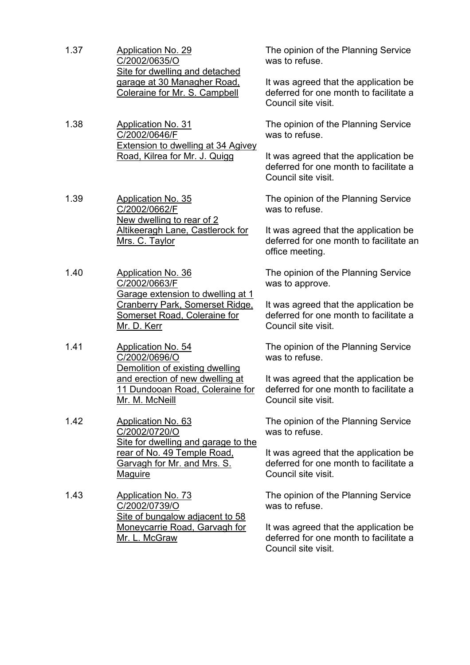- 1.37 Application No. 29 C/2002/0635/O Site for dwelling and detached garage at 30 Managher Road, Coleraine for Mr. S. Campbell 1.38 Application No. 31 C/2002/0646/F Extension to dwelling at 34 Agivey Road, Kilrea for Mr. J. Quigg 1.39 Application No. 35 C/2002/0662/F New dwelling to rear of 2 Altikeeragh Lane, Castlerock for Mrs. C. Taylor 1.40 Application No. 36 C/2002/0663/F Garage extension to dwelling at 1 Cranberry Park, Somerset Ridge, Somerset Road, Coleraine for Mr. D. Kerr
- 1.41 Application No. 54 C/2002/0696/O Demolition of existing dwelling and erection of new dwelling at 11 Dundooan Road, Coleraine for Mr. M. McNeill
- 1.42 Application No. 63 C/2002/0720/O Site for dwelling and garage to the rear of No. 49 Temple Road, Garvagh for Mr. and Mrs. S. **Maguire**
- 1.43 Application No. 73 C/2002/0739/O Site of bungalow adjacent to 58 Moneycarrie Road, Garvagh for Mr. L. McGraw

The opinion of the Planning Service was to refuse.

It was agreed that the application be deferred for one month to facilitate a Council site visit.

The opinion of the Planning Service was to refuse.

It was agreed that the application be deferred for one month to facilitate a Council site visit.

The opinion of the Planning Service was to refuse.

It was agreed that the application be deferred for one month to facilitate an office meeting.

The opinion of the Planning Service was to approve.

It was agreed that the application be deferred for one month to facilitate a Council site visit.

The opinion of the Planning Service was to refuse.

It was agreed that the application be deferred for one month to facilitate a Council site visit.

The opinion of the Planning Service was to refuse.

It was agreed that the application be deferred for one month to facilitate a Council site visit.

The opinion of the Planning Service was to refuse.

It was agreed that the application be deferred for one month to facilitate a Council site visit.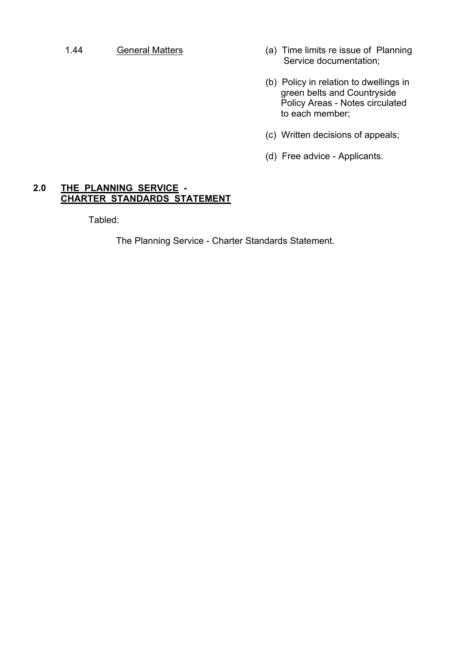- 1.44 General Matters (a) Time limits re issue of Planning Service documentation;
	- (b) Policy in relation to dwellings in green belts and Countryside Policy Areas - Notes circulated to each member;
	- (c) Written decisions of appeals;
	- (d) Free advice Applicants.

#### **2.0 THE PLANNING SERVICE - CHARTER STANDARDS STATEMENT**

Tabled:

The Planning Service - Charter Standards Statement.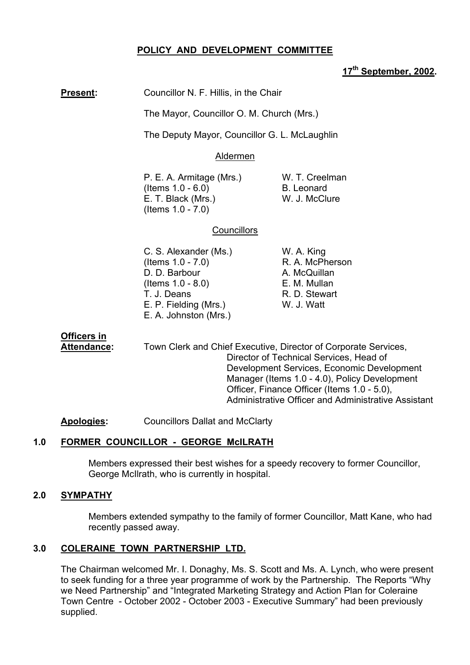# **POLICY AND DEVELOPMENT COMMITTEE**

#### **17th September, 2002.**

**Present:** Councillor N. F. Hillis, in the Chair

The Mayor, Councillor O. M. Church (Mrs.)

The Deputy Mayor, Councillor G. L. McLaughlin

#### Aldermen

P. E. A. Armitage (Mrs.) W. T. Creelman  $($  Items  $1.0 - 6.0$  B. Leonard E. T. Black (Mrs.) W. J. McClure (Items 1.0 - 7.0)

## **Councillors**

C. S. Alexander (Ms.) W. A. King  $($ ltems  $1.0 - 7.0$ ) R. A. McPherson D. D. Barbour A. McQuillan (Items 1.0 - 8.0) E. M. Mullan T. J. Deans R. D. Stewart E. P. Fielding (Mrs.) W. J. Watt E. A. Johnston (Mrs.)

# **Officers in**

Attendance: Town Clerk and Chief Executive, Director of Corporate Services, Director of Technical Services, Head of Development Services, Economic Development Manager (Items 1.0 - 4.0), Policy Development Officer, Finance Officer (Items 1.0 - 5.0), Administrative Officer and Administrative Assistant

**Apologies:** Councillors Dallat and McClarty

# **1.0 FORMER COUNCILLOR - GEORGE McILRATH**

Members expressed their best wishes for a speedy recovery to former Councillor, George McIlrath, who is currently in hospital.

# **2.0 SYMPATHY**

Members extended sympathy to the family of former Councillor, Matt Kane, who had recently passed away.

# **3.0 COLERAINE TOWN PARTNERSHIP LTD.**

The Chairman welcomed Mr. I. Donaghy, Ms. S. Scott and Ms. A. Lynch, who were present to seek funding for a three year programme of work by the Partnership. The Reports "Why we Need Partnership" and "Integrated Marketing Strategy and Action Plan for Coleraine Town Centre - October 2002 - October 2003 - Executive Summaryî had been previously supplied.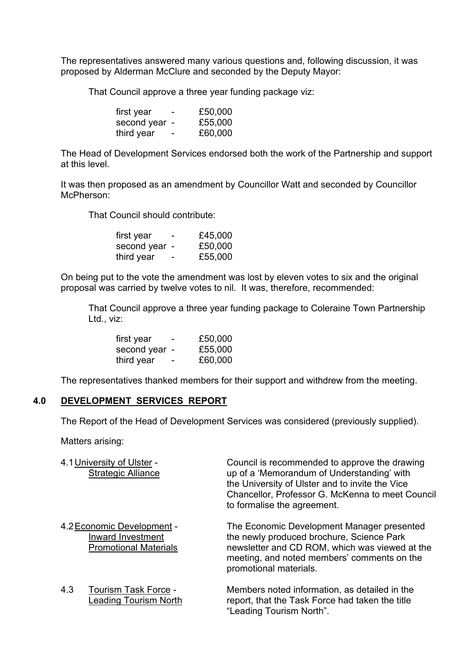The representatives answered many various questions and, following discussion, it was proposed by Alderman McClure and seconded by the Deputy Mayor:

That Council approve a three year funding package viz:

| first year    | $\overline{\phantom{0}}$ | £50,000 |
|---------------|--------------------------|---------|
| second year - |                          | £55,000 |
| third year    | $\overline{\phantom{a}}$ | £60,000 |

The Head of Development Services endorsed both the work of the Partnership and support at this level.

It was then proposed as an amendment by Councillor Watt and seconded by Councillor McPherson:

That Council should contribute:

| first year    | $\overline{\phantom{0}}$ | £45,000 |
|---------------|--------------------------|---------|
| second year - |                          | £50,000 |
| third year    |                          | £55,000 |

On being put to the vote the amendment was lost by eleven votes to six and the original proposal was carried by twelve votes to nil. It was, therefore, recommended:

 That Council approve a three year funding package to Coleraine Town Partnership Ltd., viz:

| first year    | $\overline{\phantom{0}}$ | £50,000 |
|---------------|--------------------------|---------|
| second year - |                          | £55,000 |
| third year    | $\overline{\phantom{a}}$ | £60,000 |

The representatives thanked members for their support and withdrew from the meeting.

#### **4.0 DEVELOPMENT SERVICES REPORT**

The Report of the Head of Development Services was considered (previously supplied).

Matters arising:

|     | 4.1 University of Ulster -<br><b>Strategic Alliance</b>                         | Council is recommended to approve the drawing<br>up of a 'Memorandum of Understanding' with<br>the University of Ulster and to invite the Vice<br>Chancellor, Professor G. McKenna to meet Council<br>to formalise the agreement. |
|-----|---------------------------------------------------------------------------------|-----------------------------------------------------------------------------------------------------------------------------------------------------------------------------------------------------------------------------------|
|     | 4.2 Economic Development -<br>Inward Investment<br><b>Promotional Materials</b> | The Economic Development Manager presented<br>the newly produced brochure, Science Park<br>newsletter and CD ROM, which was viewed at the<br>meeting, and noted members' comments on the<br>promotional materials.                |
| 4.3 | Tourism Task Force -<br>Leading Tourism North                                   | Members noted information, as detailed in the<br>report, that the Task Force had taken the title<br>"Leading Tourism North".                                                                                                      |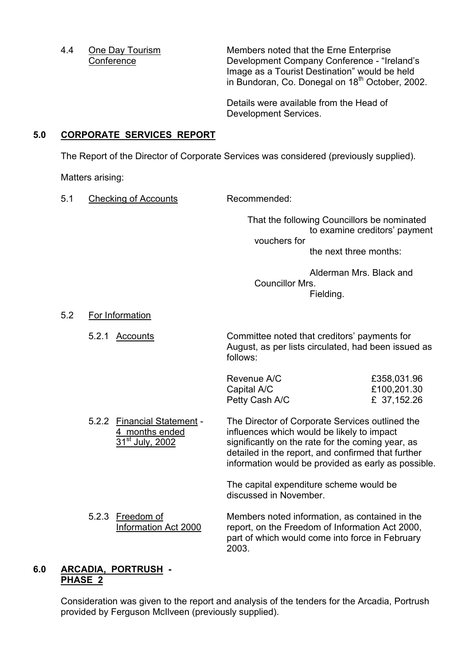4.4 One Day Tourism Members noted that the Erne Enterprise Conference Development Company Conference - "Ireland's Image as a Tourist Destination" would be held in Bundoran, Co. Donegal on 18<sup>th</sup> October, 2002.

> Details were available from the Head of Development Services.

# **5.0 CORPORATE SERVICES REPORT**

The Report of the Director of Corporate Services was considered (previously supplied).

Matters arising:

5.1 Checking of Accounts Recommended:

 That the following Councillors be nominated to examine creditors' payment vouchers for the next three months:

 Alderman Mrs. Black and Councillor Mrs. Fielding.

5.2 For Information

 5.2.1 Accounts Committee noted that creditorsí payments for August, as per lists circulated, had been issued as follows:

| Revenue A/C    | £358,031.96 |
|----------------|-------------|
| Capital A/C    | £100,201.30 |
| Petty Cash A/C | £ 37,152.26 |

5.2.2 Financial Statement - The Director of Corporate Services outlined the 4 months ended influences which would be likely to impact  $31<sup>st</sup>$  July, 2002 significantly on the rate for the coming year, as detailed in the report, and confirmed that further information would be provided as early as possible.

> The capital expenditure scheme would be discussed in November.

5.2.3 Freedom of Members noted information, as contained in the Information Act 2000 report, on the Freedom of Information Act 2000, part of which would come into force in February 2003.

## **6.0 ARCADIA, PORTRUSH - PHASE 2**

 Consideration was given to the report and analysis of the tenders for the Arcadia, Portrush provided by Ferguson McIlveen (previously supplied).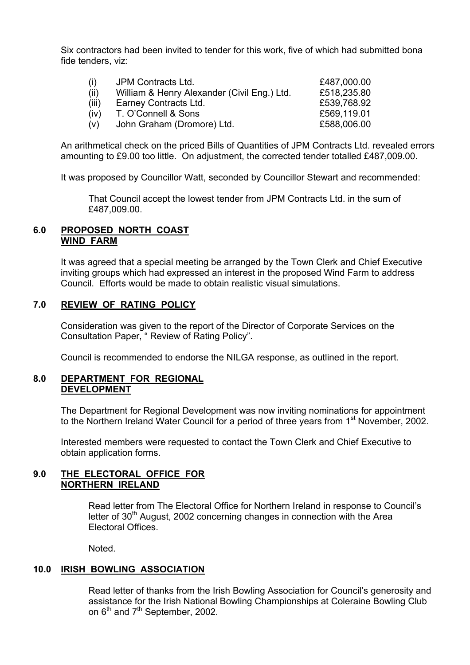Six contractors had been invited to tender for this work, five of which had submitted bona fide tenders, viz:

| (1)   | JPM Contracts Ltd.                          | £487,000.00 |
|-------|---------------------------------------------|-------------|
| (ii)  | William & Henry Alexander (Civil Eng.) Ltd. | £518,235.80 |
| (iii) | Earney Contracts Ltd.                       | £539,768.92 |
| (iv)  | T. O'Connell & Sons                         | £569,119.01 |
| (v)   | John Graham (Dromore) Ltd.                  | £588,006.00 |

 An arithmetical check on the priced Bills of Quantities of JPM Contracts Ltd. revealed errors amounting to £9.00 too little. On adjustment, the corrected tender totalled £487,009.00.

It was proposed by Councillor Watt, seconded by Councillor Stewart and recommended:

 That Council accept the lowest tender from JPM Contracts Ltd. in the sum of £487,009.00.

## **6.0 PROPOSED NORTH COAST WIND FARM**

It was agreed that a special meeting be arranged by the Town Clerk and Chief Executive inviting groups which had expressed an interest in the proposed Wind Farm to address Council. Efforts would be made to obtain realistic visual simulations.

# **7.0 REVIEW OF RATING POLICY**

Consideration was given to the report of the Director of Corporate Services on the Consultation Paper, "Review of Rating Policy".

Council is recommended to endorse the NILGA response, as outlined in the report.

## **8.0 DEPARTMENT FOR REGIONAL DEVELOPMENT**

 The Department for Regional Development was now inviting nominations for appointment to the Northern Ireland Water Council for a period of three years from 1<sup>st</sup> November, 2002.

 Interested members were requested to contact the Town Clerk and Chief Executive to obtain application forms.

## **9.0 THE ELECTORAL OFFICE FOR NORTHERN IRELAND**

Read letter from The Electoral Office for Northern Ireland in response to Council's letter of  $30<sup>th</sup>$  August, 2002 concerning changes in connection with the Area Electoral Offices.

Noted.

# **10.0 IRISH BOWLING ASSOCIATION**

Read letter of thanks from the Irish Bowling Association for Council's generosity and assistance for the Irish National Bowling Championships at Coleraine Bowling Club on  $6<sup>th</sup>$  and  $7<sup>th</sup>$  September, 2002.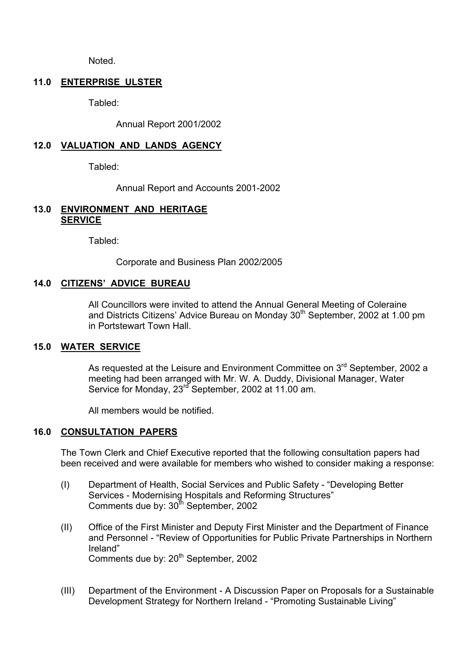Noted.

## **11.0 ENTERPRISE ULSTER**

Tabled:

Annual Report 2001/2002

# **12.0 VALUATION AND LANDS AGENCY**

Tabled:

Annual Report and Accounts 2001-2002

## **13.0 ENVIRONMENT AND HERITAGE SERVICE**

Tabled:

Corporate and Business Plan 2002/2005

# **14.0 CITIZENSí ADVICE BUREAU**

All Councillors were invited to attend the Annual General Meeting of Coleraine and Districts Citizens' Advice Bureau on Monday 30<sup>th</sup> September, 2002 at 1.00 pm in Portstewart Town Hall.

#### **15.0 WATER SERVICE**

As requested at the Leisure and Environment Committee on 3<sup>rd</sup> September, 2002 a meeting had been arranged with Mr. W. A. Duddy, Divisional Manager, Water Service for Monday, 23<sup>rd</sup> September, 2002 at 11.00 am.

All members would be notified.

# **16.0 CONSULTATION PAPERS**

The Town Clerk and Chief Executive reported that the following consultation papers had been received and were available for members who wished to consider making a response:

- (I) Department of Health, Social Services and Public Safety "Developing Better" Services - Modernising Hospitals and Reforming Structures" Comments due by:  $30<sup>th</sup>$  September, 2002
- (II) Office of the First Minister and Deputy First Minister and the Department of Finance and Personnel - "Review of Opportunities for Public Private Partnerships in Northern Irelandî Comments due by: 20<sup>th</sup> September, 2002
- (III) Department of the Environment A Discussion Paper on Proposals for a Sustainable Development Strategy for Northern Ireland - "Promoting Sustainable Living"